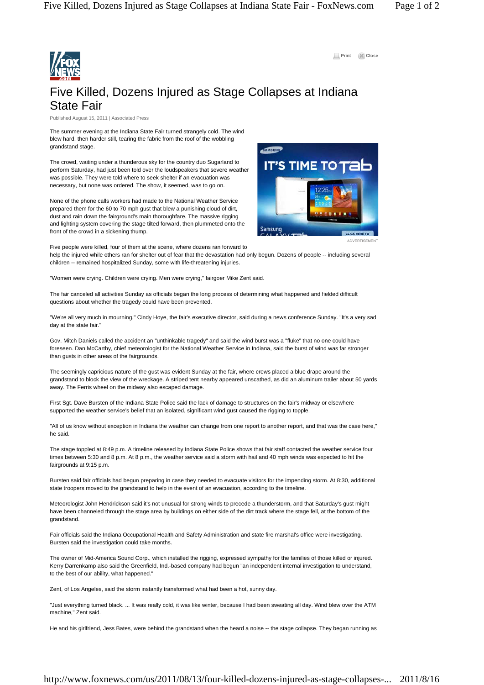

**Print** (X) Close

## Five Killed, Dozens Injured as Stage Collapses at Indiana State Fair

Published August 15, 2011 | Associated Press

The summer evening at the Indiana State Fair turned strangely cold. The wind blew hard, then harder still, tearing the fabric from the roof of the wobbling grandstand stage.

The crowd, waiting under a thunderous sky for the country duo Sugarland to perform Saturday, had just been told over the loudspeakers that severe weather was possible. They were told where to seek shelter if an evacuation was necessary, but none was ordered. The show, it seemed, was to go on.

None of the phone calls workers had made to the National Weather Service prepared them for the 60 to 70 mph gust that blew a punishing cloud of dirt, dust and rain down the fairground's main thoroughfare. The massive rigging and lighting system covering the stage tilted forward, then plummeted onto the front of the crowd in a sickening thump.



help the injured while others ran for shelter out of fear that the devastation had only begun. Dozens of people -- including several

children -- remained hospitalized Sunday, some with life-threatening injuries.

"Women were crying. Children were crying. Men were crying," fairgoer Mike Zent said.

The fair canceled all activities Sunday as officials began the long process of determining what happened and fielded difficult questions about whether the tragedy could have been prevented.

"We're all very much in mourning," Cindy Hoye, the fair's executive director, said during a news conference Sunday. "It's a very sad day at the state fair."

Gov. Mitch Daniels called the accident an "unthinkable tragedy" and said the wind burst was a "fluke" that no one could have foreseen. Dan McCarthy, chief meteorologist for the National Weather Service in Indiana, said the burst of wind was far stronger than gusts in other areas of the fairgrounds.

The seemingly capricious nature of the gust was evident Sunday at the fair, where crews placed a blue drape around the grandstand to block the view of the wreckage. A striped tent nearby appeared unscathed, as did an aluminum trailer about 50 yards away. The Ferris wheel on the midway also escaped damage.

First Sgt. Dave Bursten of the Indiana State Police said the lack of damage to structures on the fair's midway or elsewhere supported the weather service's belief that an isolated, significant wind gust caused the rigging to topple.

"All of us know without exception in Indiana the weather can change from one report to another report, and that was the case here," he said.

The stage toppled at 8:49 p.m. A timeline released by Indiana State Police shows that fair staff contacted the weather service four times between 5:30 and 8 p.m. At 8 p.m., the weather service said a storm with hail and 40 mph winds was expected to hit the fairgrounds at 9:15 p.m.

Bursten said fair officials had begun preparing in case they needed to evacuate visitors for the impending storm. At 8:30, additional state troopers moved to the grandstand to help in the event of an evacuation, according to the timeline.

Meteorologist John Hendrickson said it's not unusual for strong winds to precede a thunderstorm, and that Saturday's gust might have been channeled through the stage area by buildings on either side of the dirt track where the stage fell, at the bottom of the grandstand.

Fair officials said the Indiana Occupational Health and Safety Administration and state fire marshal's office were investigating. Bursten said the investigation could take months.

The owner of Mid-America Sound Corp., which installed the rigging, expressed sympathy for the families of those killed or injured. Kerry Darrenkamp also said the Greenfield, Ind.-based company had begun "an independent internal investigation to understand, to the best of our ability, what happened."

Zent, of Los Angeles, said the storm instantly transformed what had been a hot, sunny day.

"Just everything turned black. ... It was really cold, it was like winter, because I had been sweating all day. Wind blew over the ATM machine," Zent said.

He and his girlfriend, Jess Bates, were behind the grandstand when the heard a noise -- the stage collapse. They began running as